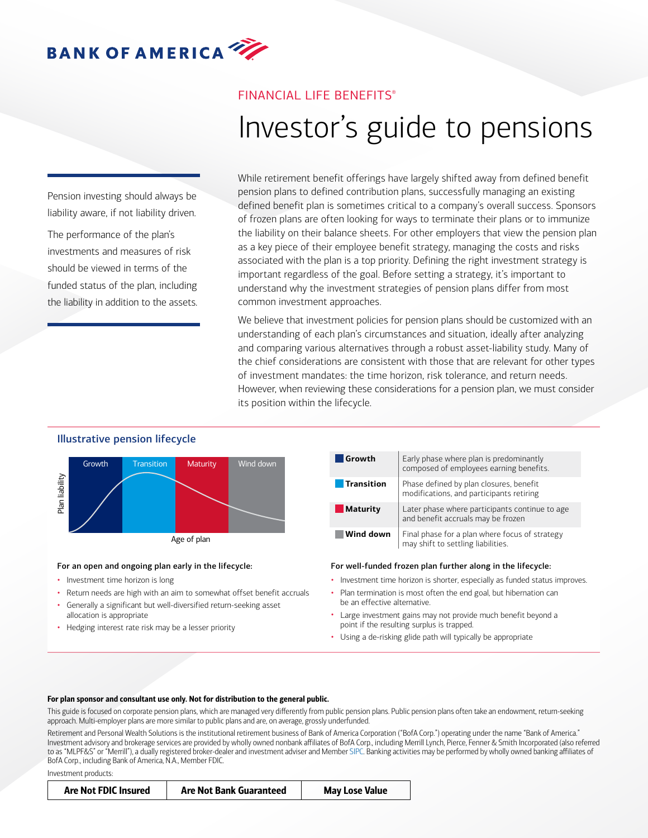# FINANCIAL LIFE BENEFITS®

# Investor's guide to pensions

Pension investing should always be liability aware, if not liability driven.

The performance of the plan's investments and measures of risk should be viewed in terms of the funded status of the plan, including the liability in addition to the assets. While retirement benefit offerings have largely shifted away from defined benefit pension plans to defined contribution plans, successfully managing an existing defined benefit plan is sometimes critical to a company's overall success. Sponsors of frozen plans are often looking for ways to terminate their plans or to immunize the liability on their balance sheets. For other employers that view the pension plan as a key piece of their employee benefit strategy, managing the costs and risks associated with the plan is a top priority. Defining the right investment strategy is important regardless of the goal. Before setting a strategy, it's important to understand why the investment strategies of pension plans differ from most common investment approaches.

We believe that investment policies for pension plans should be customized with an understanding of each plan's circumstances and situation, ideally after analyzing and comparing various alternatives through a robust asset-liability study. Many of the chief considerations are consistent with those that are relevant for other types of investment mandates: the time horizon, risk tolerance, and return needs. However, when reviewing these considerations for a pension plan, we must consider its position within the lifecycle.

#### Illustrative pension lifecycle



#### For an open and ongoing plan early in the lifecycle:

- Investment time horizon is long
- Return needs are high with an aim to somewhat offset benefit accruals
- Generally a significant but well-diversified return-seeking asset allocation is appropriate
- Hedging interest rate risk may be a lesser priority

| Growth          | Early phase where plan is predominantly<br>composed of employees earning benefits.   |
|-----------------|--------------------------------------------------------------------------------------|
| Transition      | Phase defined by plan closures, benefit<br>modifications, and participants retiring  |
| <b>Maturity</b> | Later phase where participants continue to age<br>and benefit accruals may be frozen |
| Wind down       | Final phase for a plan where focus of strategy<br>may shift to settling liabilities. |

#### For well-funded frozen plan further along in the lifecycle:

- Investment time horizon is shorter, especially as funded status improves.
- Plan termination is most often the end goal, but hibernation can be an effective alternative.
- Large investment gains may not provide much benefit beyond a point if the resulting surplus is trapped.
- Using a de-risking glide path will typically be appropriate

#### For plan sponsor and consultant use only. Not for distribution to the general public.

This guide is focused on corporate pension plans, which are managed very differently from public pension plans. Public pension plans often take an endowment, return-seeking approach. Multi-employer plans are more similar to public plans and are, on average, grossly underfunded.

Retirement and Personal Wealth Solutions is the institutional retirement business of Bank of America Corporation ("BofA Corp.") operating under the name "Bank of America." Investment advisory and brokerage services are provided by wholly owned nonbank affiliates of BofA Corp., including Merrill Lynch, Pierce, Fenner & Smith Incorporated (also referred to as "MLPF&S" or "Merrill"), a dually registered broker-dealer and investment adviser and Member [SIPC](http://www.sipc.org). Banking activities may be performed by wholly owned banking affiliates of BofA Corp., including Bank of America, N.A., Member FDIC.

Investment products:

| <b>Are Not FDIC Insured</b><br><b>Are Not Bank Guaranteed</b><br><b>May Lose Value</b> |  |  |  |
|----------------------------------------------------------------------------------------|--|--|--|
|----------------------------------------------------------------------------------------|--|--|--|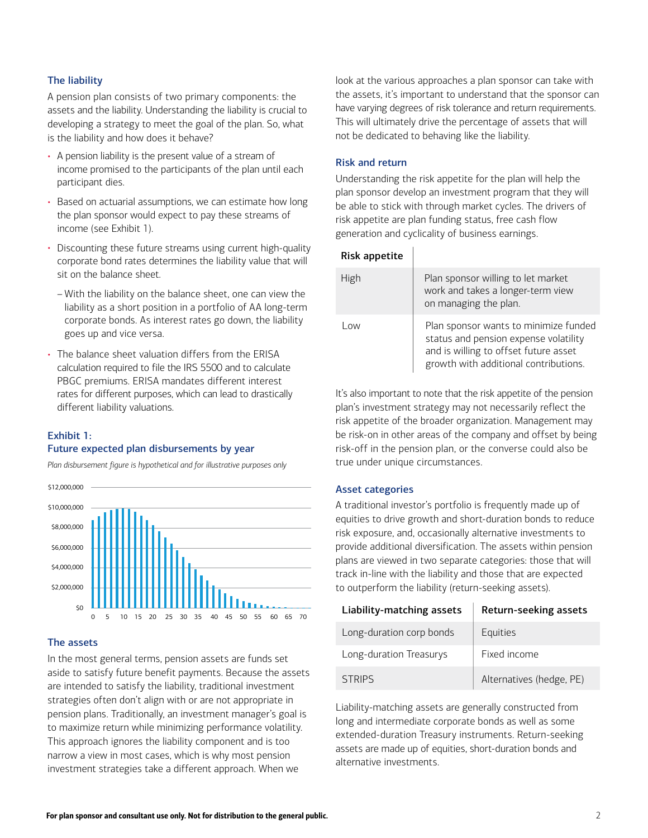#### The liability

A pension plan consists of two primary components: the assets and the liability. Understanding the liability is crucial to developing a strategy to meet the goal of the plan. So, what is the liability and how does it behave?

- A pension liability is the present value of a stream of income promised to the participants of the plan until each participant dies.
- Based on actuarial assumptions, we can estimate how long the plan sponsor would expect to pay these streams of income (see Exhibit 1).
- Discounting these future streams using current high-quality corporate bond rates determines the liability value that will sit on the balance sheet.
	- With the liability on the balance sheet, one can view the liability as a short position in a portfolio of AA long-term corporate bonds. As interest rates go down, the liability goes up and vice versa.
- The balance sheet valuation differs from the ERISA calculation required to file the IRS 5500 and to calculate PBGC premiums. ERISA mandates different interest rates for different purposes, which can lead to drastically different liability valuations.

## Exhibit 1: Future expected plan disbursements by year

*Plan disbursement figure is hypothetical and for illustrative purposes only*



#### The assets

In the most general terms, pension assets are funds set aside to satisfy future benefit payments. Because the assets are intended to satisfy the liability, traditional investment strategies often don't align with or are not appropriate in pension plans. Traditionally, an investment manager's goal is to maximize return while minimizing performance volatility. This approach ignores the liability component and is too narrow a view in most cases, which is why most pension investment strategies take a different approach. When we

look at the various approaches a plan sponsor can take with the assets, it's important to understand that the sponsor can have varying degrees of risk tolerance and return requirements. This will ultimately drive the percentage of assets that will not be dedicated to behaving like the liability.

#### Risk and return

Understanding the risk appetite for the plan will help the plan sponsor develop an investment program that they will be able to stick with through market cycles. The drivers of risk appetite are plan funding status, free cash flow generation and cyclicality of business earnings.

|  | Risk appetite |
|--|---------------|
|--|---------------|

| High | Plan sponsor willing to let market<br>work and takes a longer-term view<br>on managing the plan.                                                                 |
|------|------------------------------------------------------------------------------------------------------------------------------------------------------------------|
| l ow | Plan sponsor wants to minimize funded<br>status and pension expense volatility<br>and is willing to offset future asset<br>growth with additional contributions. |

It's also important to note that the risk appetite of the pension plan's investment strategy may not necessarily reflect the risk appetite of the broader organization. Management may be risk-on in other areas of the company and offset by being risk-off in the pension plan, or the converse could also be true under unique circumstances.

#### Asset categories

A traditional investor's portfolio is frequently made up of equities to drive growth and short-duration bonds to reduce risk exposure, and, occasionally alternative investments to provide additional diversification. The assets within pension plans are viewed in two separate categories: those that will track in-line with the liability and those that are expected to outperform the liability (return-seeking assets).

| Liability-matching assets | Return-seeking assets    |
|---------------------------|--------------------------|
| Long-duration corp bonds  | Equities                 |
| Long-duration Treasurys   | Fixed income             |
| <b>STRIPS</b>             | Alternatives (hedge, PE) |

Liability-matching assets are generally constructed from long and intermediate corporate bonds as well as some extended-duration Treasury instruments. Return-seeking assets are made up of equities, short-duration bonds and alternative investments.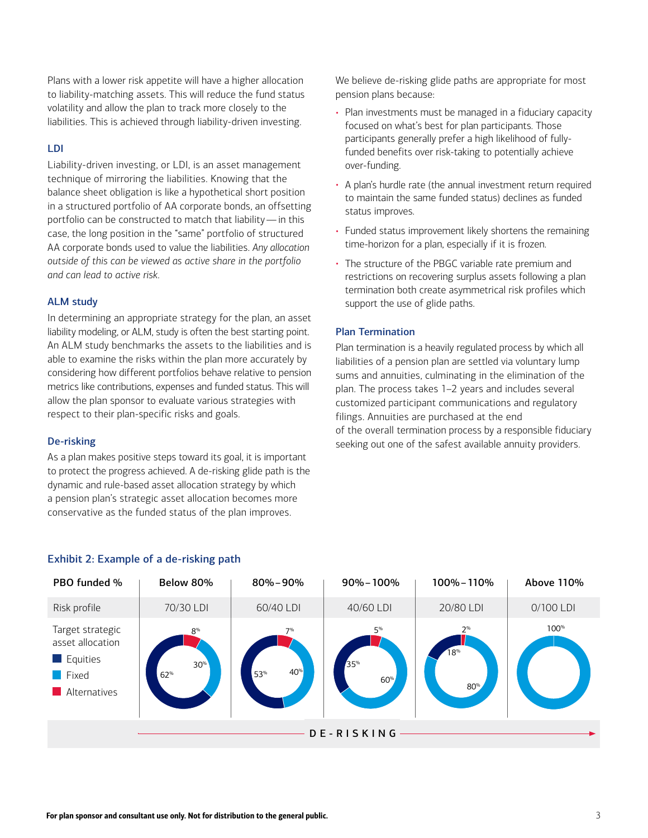Plans with a lower risk appetite will have a higher allocation to liability-matching assets. This will reduce the fund status volatility and allow the plan to track more closely to the liabilities. This is achieved through liability-driven investing.

### LDI

Liability-driven investing, or LDI, is an asset management technique of mirroring the liabilities. Knowing that the balance sheet obligation is like a hypothetical short position in a structured portfolio of AA corporate bonds, an offsetting portfolio can be constructed to match that liability — in this case, the long position in the "same" portfolio of structured AA corporate bonds used to value the liabilities. *Any allocation outside of this can be viewed as active share in the portfolio and can lead to active risk.*

### ALM study

In determining an appropriate strategy for the plan, an asset liability modeling, or ALM, study is often the best starting point. An ALM study benchmarks the assets to the liabilities and is able to examine the risks within the plan more accurately by considering how different portfolios behave relative to pension metrics like contributions, expenses and funded status. This will allow the plan sponsor to evaluate various strategies with respect to their plan-specific risks and goals.

#### De-risking

As a plan makes positive steps toward its goal, it is important to protect the progress achieved. A de-risking glide path is the dynamic and rule-based asset allocation strategy by which a pension plan's strategic asset allocation becomes more conservative as the funded status of the plan improves.

We believe de-risking glide paths are appropriate for most pension plans because:

- Plan investments must be managed in a fiduciary capacity focused on what's best for plan participants. Those participants generally prefer a high likelihood of fullyfunded benefits over risk-taking to potentially achieve over-funding.
- A plan's hurdle rate (the annual investment return required to maintain the same funded status) declines as funded status improves.
- Funded status improvement likely shortens the remaining time-horizon for a plan, especially if it is frozen.
- The structure of the PBGC variable rate premium and restrictions on recovering surplus assets following a plan termination both create asymmetrical risk profiles which support the use of glide paths.

#### Plan Termination

Plan termination is a heavily regulated process by which all liabilities of a pension plan are settled via voluntary lump sums and annuities, culminating in the elimination of the plan. The process takes 1–2 years and includes several customized participant communications and regulatory filings. Annuities are purchased at the end of the overall termination process by a responsible fiduciary seeking out one of the safest available annuity providers.



# Exhibit 2: Example of a de-risking path